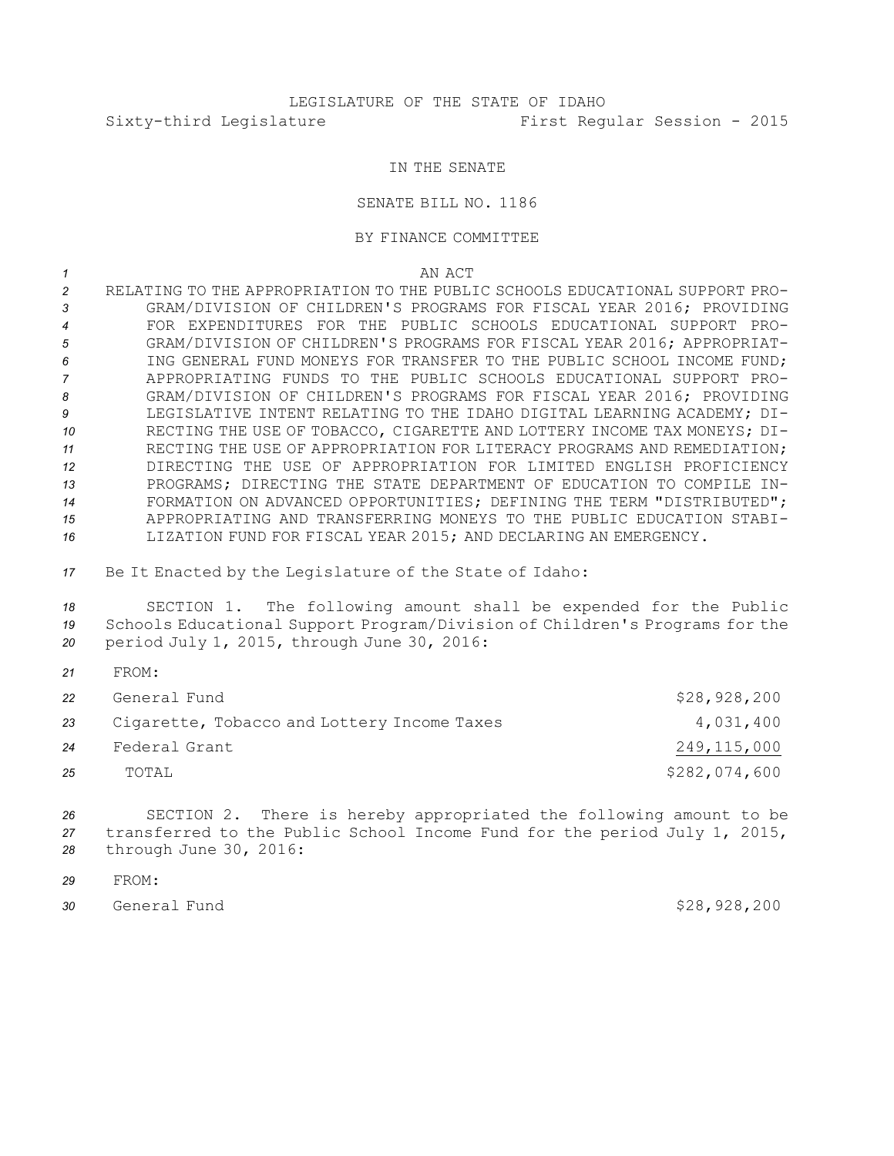## IN THE SENATE

## SENATE BILL NO. 1186

## BY FINANCE COMMITTEE

*1* AN ACT

 RELATING TO THE APPROPRIATION TO THE PUBLIC SCHOOLS EDUCATIONAL SUPPORT PRO- GRAM/DIVISION OF CHILDREN'S PROGRAMS FOR FISCAL YEAR 2016; PROVIDING FOR EXPENDITURES FOR THE PUBLIC SCHOOLS EDUCATIONAL SUPPORT PRO- GRAM/DIVISION OF CHILDREN'S PROGRAMS FOR FISCAL YEAR 2016; APPROPRIAT- ING GENERAL FUND MONEYS FOR TRANSFER TO THE PUBLIC SCHOOL INCOME FUND; APPROPRIATING FUNDS TO THE PUBLIC SCHOOLS EDUCATIONAL SUPPORT PRO- GRAM/DIVISION OF CHILDREN'S PROGRAMS FOR FISCAL YEAR 2016; PROVIDING LEGISLATIVE INTENT RELATING TO THE IDAHO DIGITAL LEARNING ACADEMY; DI- RECTING THE USE OF TOBACCO, CIGARETTE AND LOTTERY INCOME TAX MONEYS; DI- RECTING THE USE OF APPROPRIATION FOR LITERACY PROGRAMS AND REMEDIATION; DIRECTING THE USE OF APPROPRIATION FOR LIMITED ENGLISH PROFICIENCY PROGRAMS; DIRECTING THE STATE DEPARTMENT OF EDUCATION TO COMPILE IN-**FORMATION ON ADVANCED OPPORTUNITIES; DEFINING THE TERM "DISTRIBUTED";**  APPROPRIATING AND TRANSFERRING MONEYS TO THE PUBLIC EDUCATION STABI-LIZATION FUND FOR FISCAL YEAR 2015; AND DECLARING AN EMERGENCY.

*<sup>17</sup>* Be It Enacted by the Legislature of the State of Idaho:

*<sup>18</sup>* SECTION 1. The following amount shall be expended for the Public *<sup>19</sup>* Schools Educational Support Program/Division of Children's Programs for the *<sup>20</sup>* period July 1, 2015, through June 30, 2016:

*21* FROM: General Fund \$28,928,200 Cigarette, Tobacco and Lottery Income Taxes 4,031,400 Federal Grant 249,115,000 TOTAL \$282,074,600

*<sup>26</sup>* SECTION 2. There is hereby appropriated the following amount to be *<sup>27</sup>* transferred to the Public School Income Fund for the period July 1, 2015, *<sup>28</sup>* through June 30, 2016:

- *29* FROM:
- *<sup>30</sup>* General Fund \$28,928,200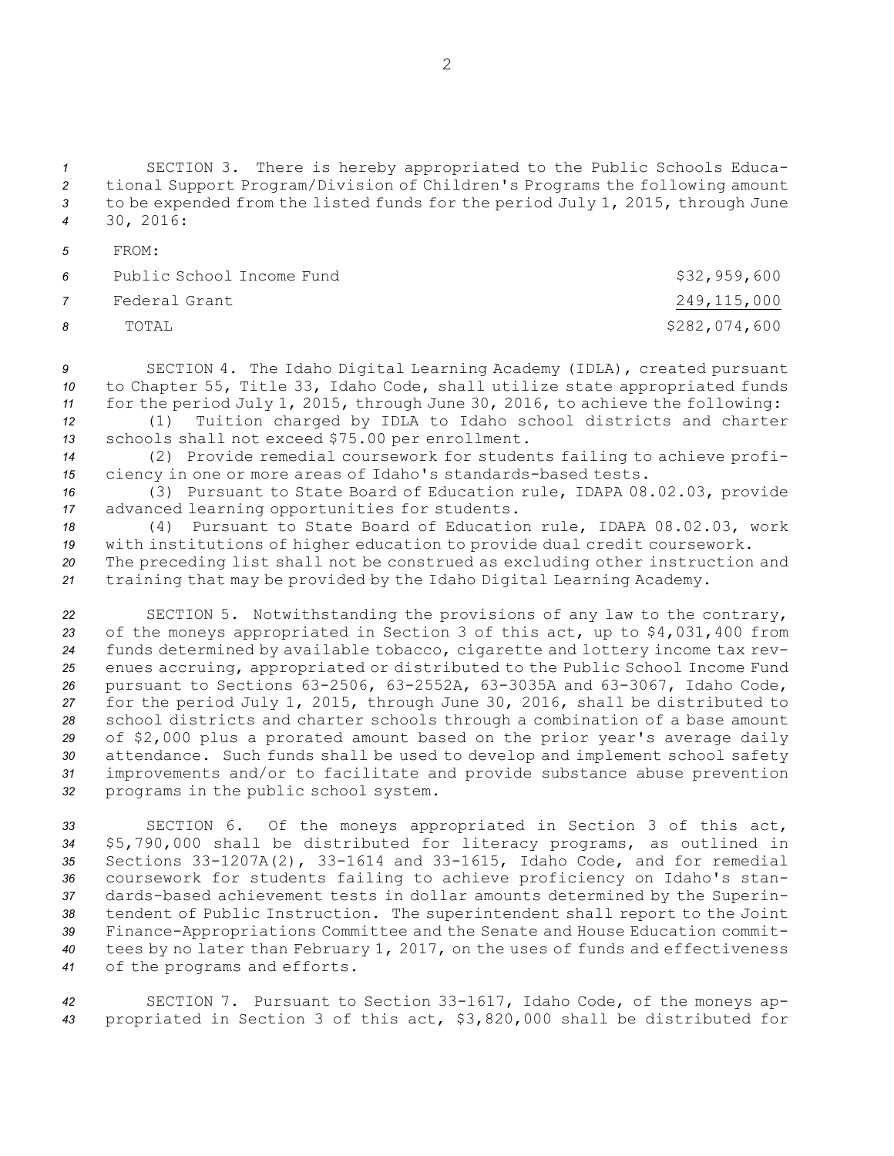SECTION 3. There is hereby appropriated to the Public Schools Educa- tional Support Program/Division of Children's Programs the following amount to be expended from the listed funds for the period July 1, 2015, through June 30, 2016:

*5* FROM:

| <b>6</b>       | Public School Income Fund | \$32,959,600  |
|----------------|---------------------------|---------------|
| $\overline{7}$ | Federal Grant             | 249,115,000   |
| <b>R</b>       | TOTAL                     | \$282,074,600 |

*<sup>9</sup>* SECTION 4. The Idaho Digital Learning Academy (IDLA), created pursuant *<sup>10</sup>* to Chapter 55, Title 33, Idaho Code, shall utilize state appropriated funds *<sup>11</sup>* for the period July 1, 2015, through June 30, 2016, to achieve the following:

*<sup>12</sup>* (1) Tuition charged by IDLA to Idaho school districts and charter *<sup>13</sup>* schools shall not exceed \$75.00 per enrollment.

*<sup>14</sup>* (2) Provide remedial coursework for students failing to achieve profi-*<sup>15</sup>* ciency in one or more areas of Idaho's standards-based tests.

*<sup>16</sup>* (3) Pursuant to State Board of Education rule, IDAPA 08.02.03, provide *<sup>17</sup>* advanced learning opportunities for students.

*<sup>18</sup>* (4) Pursuant to State Board of Education rule, IDAPA 08.02.03, work *<sup>19</sup>* with institutions of higher education to provide dual credit coursework. *<sup>20</sup>* The preceding list shall not be construed as excluding other instruction and

*<sup>21</sup>* training that may be provided by the Idaho Digital Learning Academy.

 SECTION 5. Notwithstanding the provisions of any law to the contrary, of the moneys appropriated in Section 3 of this act, up to \$4,031,400 from funds determined by available tobacco, cigarette and lottery income tax rev- enues accruing, appropriated or distributed to the Public School Income Fund pursuant to Sections 63-2506, 63-2552A, 63-3035A and 63-3067, Idaho Code, for the period July 1, 2015, through June 30, 2016, shall be distributed to school districts and charter schools through <sup>a</sup> combination of <sup>a</sup> base amount of \$2,000 plus <sup>a</sup> prorated amount based on the prior year's average daily attendance. Such funds shall be used to develop and implement school safety improvements and/or to facilitate and provide substance abuse prevention programs in the public school system.

 SECTION 6. Of the moneys appropriated in Section 3 of this act, \$5,790,000 shall be distributed for literacy programs, as outlined in Sections 33-1207A(2), 33-1614 and 33-1615, Idaho Code, and for remedial coursework for students failing to achieve proficiency on Idaho's stan- dards-based achievement tests in dollar amounts determined by the Superin- tendent of Public Instruction. The superintendent shall report to the Joint Finance-Appropriations Committee and the Senate and House Education commit- tees by no later than February 1, 2017, on the uses of funds and effectiveness of the programs and efforts.

*<sup>42</sup>* SECTION 7. Pursuant to Section 33-1617, Idaho Code, of the moneys ap-*<sup>43</sup>* propriated in Section 3 of this act, \$3,820,000 shall be distributed for